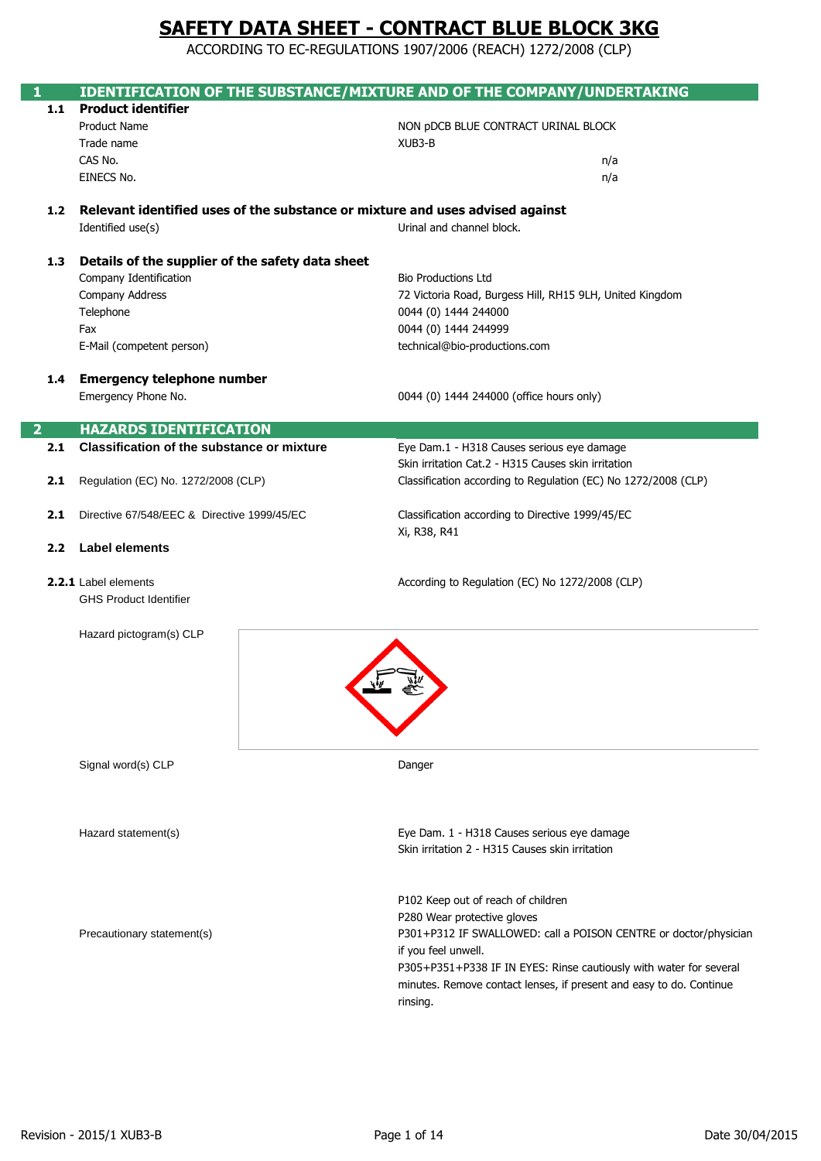|                |                                                                               |  | IDENTIFICATION OF THE SUBSTANCE/MIXTURE AND OF THE COMPANY/UNDERTAKING                                                                                                                                                                                                                                                |  |  |  |
|----------------|-------------------------------------------------------------------------------|--|-----------------------------------------------------------------------------------------------------------------------------------------------------------------------------------------------------------------------------------------------------------------------------------------------------------------------|--|--|--|
| 1.1            | <b>Product identifier</b>                                                     |  |                                                                                                                                                                                                                                                                                                                       |  |  |  |
|                | <b>Product Name</b>                                                           |  | NON pDCB BLUE CONTRACT URINAL BLOCK                                                                                                                                                                                                                                                                                   |  |  |  |
|                | Trade name<br>CAS No.                                                         |  | XUB3-B                                                                                                                                                                                                                                                                                                                |  |  |  |
|                |                                                                               |  | n/a                                                                                                                                                                                                                                                                                                                   |  |  |  |
|                | EINECS No.                                                                    |  | n/a                                                                                                                                                                                                                                                                                                                   |  |  |  |
| 1.2            | Relevant identified uses of the substance or mixture and uses advised against |  |                                                                                                                                                                                                                                                                                                                       |  |  |  |
|                | Identified use(s)                                                             |  | Urinal and channel block.                                                                                                                                                                                                                                                                                             |  |  |  |
| 1.3            | Details of the supplier of the safety data sheet                              |  |                                                                                                                                                                                                                                                                                                                       |  |  |  |
|                | Company Identification                                                        |  | <b>Bio Productions Ltd</b>                                                                                                                                                                                                                                                                                            |  |  |  |
|                | Company Address                                                               |  | 72 Victoria Road, Burgess Hill, RH15 9LH, United Kingdom                                                                                                                                                                                                                                                              |  |  |  |
|                | Telephone                                                                     |  | 0044 (0) 1444 244000                                                                                                                                                                                                                                                                                                  |  |  |  |
|                | Fax                                                                           |  | 0044 (0) 1444 244999                                                                                                                                                                                                                                                                                                  |  |  |  |
|                | E-Mail (competent person)                                                     |  | technical@bio-productions.com                                                                                                                                                                                                                                                                                         |  |  |  |
| 1.4            | <b>Emergency telephone number</b>                                             |  |                                                                                                                                                                                                                                                                                                                       |  |  |  |
|                | Emergency Phone No.                                                           |  | 0044 (0) 1444 244000 (office hours only)                                                                                                                                                                                                                                                                              |  |  |  |
| $\overline{2}$ | <b>HAZARDS IDENTIFICATION</b>                                                 |  |                                                                                                                                                                                                                                                                                                                       |  |  |  |
| 2.1            | <b>Classification of the substance or mixture</b>                             |  | Eye Dam.1 - H318 Causes serious eye damage                                                                                                                                                                                                                                                                            |  |  |  |
|                |                                                                               |  | Skin irritation Cat.2 - H315 Causes skin irritation                                                                                                                                                                                                                                                                   |  |  |  |
| 2.1            | Regulation (EC) No. 1272/2008 (CLP)                                           |  | Classification according to Regulation (EC) No 1272/2008 (CLP)                                                                                                                                                                                                                                                        |  |  |  |
| 2.1            | Directive 67/548/EEC & Directive 1999/45/EC                                   |  | Classification according to Directive 1999/45/EC<br>Xi, R38, R41                                                                                                                                                                                                                                                      |  |  |  |
| 2.2            | <b>Label elements</b>                                                         |  |                                                                                                                                                                                                                                                                                                                       |  |  |  |
|                | 2.2.1 Label elements<br><b>GHS Product Identifier</b>                         |  | According to Regulation (EC) No 1272/2008 (CLP)                                                                                                                                                                                                                                                                       |  |  |  |
|                | Hazard pictogram(s) CLP                                                       |  |                                                                                                                                                                                                                                                                                                                       |  |  |  |
|                | Signal word(s) CLP                                                            |  | Danger                                                                                                                                                                                                                                                                                                                |  |  |  |
|                | Hazard statement(s)                                                           |  | Eye Dam. 1 - H318 Causes serious eye damage<br>Skin irritation 2 - H315 Causes skin irritation                                                                                                                                                                                                                        |  |  |  |
|                | Precautionary statement(s)                                                    |  | P102 Keep out of reach of children<br>P280 Wear protective gloves<br>P301+P312 IF SWALLOWED: call a POISON CENTRE or doctor/physician<br>if you feel unwell.<br>P305+P351+P338 IF IN EYES: Rinse cautiously with water for several<br>minutes. Remove contact lenses, if present and easy to do. Continue<br>rinsing. |  |  |  |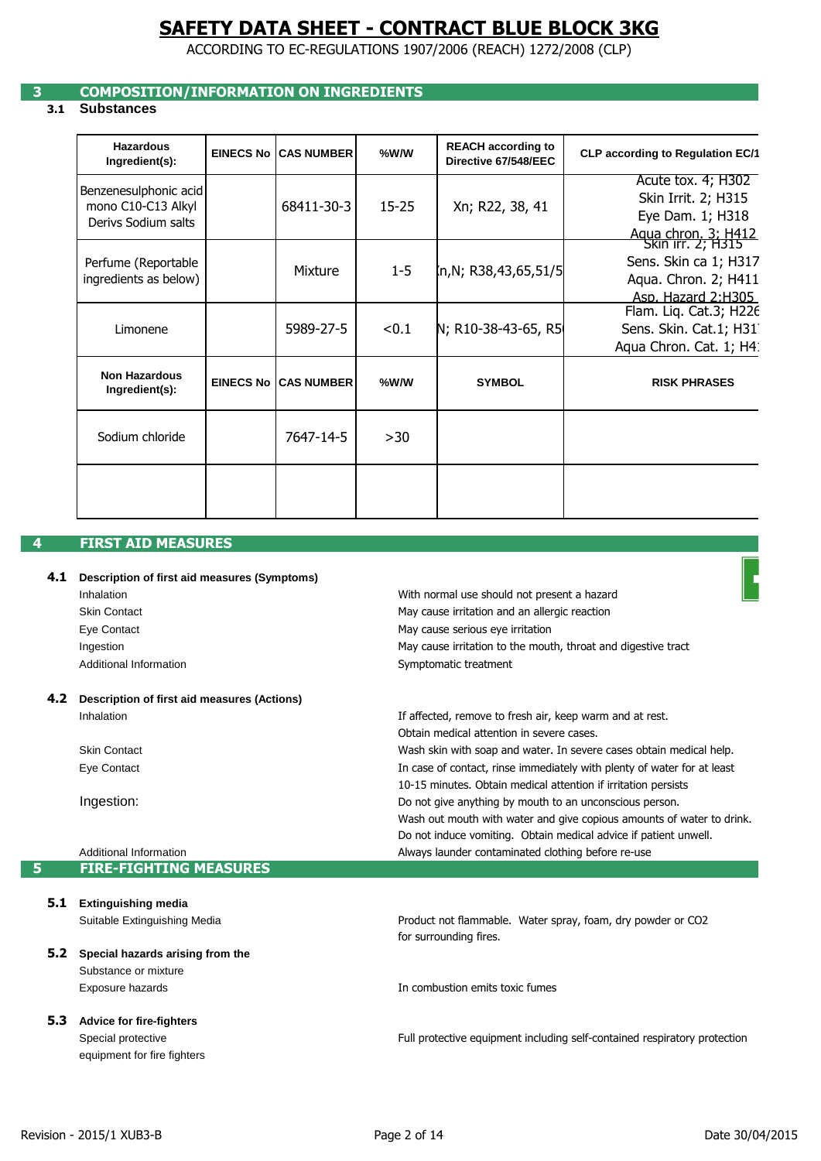ACCORDING TO EC-REGULATIONS 1907/2006 (REACH) 1272/2008 (CLP)

## **3 COMPOSITION/INFORMATION ON INGREDIENTS**

## **3.1 Substances**

| <b>Hazardous</b><br>Ingredient(s):                                 | <b>EINECS No</b> | <b>CAS NUMBER</b>             | %W/W      | <b>REACH according to</b><br>Directive 67/548/EEC | <b>CLP according to Regulation EC/1</b>                                                                   |
|--------------------------------------------------------------------|------------------|-------------------------------|-----------|---------------------------------------------------|-----------------------------------------------------------------------------------------------------------|
| Benzenesulphonic acid<br>mono C10-C13 Alkyl<br>Derivs Sodium salts |                  | 68411-30-3                    | $15 - 25$ | Xn; R22, 38, 41                                   | Acute tox. 4; H302<br>Skin Irrit. 2; H315<br>Eye Dam. 1; H318<br>Aqua chron, 3: H412<br>Skin irr. 2; H315 |
| Perfume (Reportable<br>ingredients as below)                       |                  | <b>Mixture</b>                | $1 - 5$   | (n,N; R38,43,65,51/5                              | Sens. Skin ca 1; H317<br>Aqua. Chron. 2; H411<br>Asp. Hazard 2:H305                                       |
| Limonene                                                           |                  | 5989-27-5                     | < 0.1     | N; R10-38-43-65, R5                               | Flam. Liq. Cat.3; H226<br>Sens. Skin. Cat.1; H31<br>Aqua Chron. Cat. 1; H4:                               |
| <b>Non Hazardous</b><br>Ingredient(s):                             |                  | <b>EINECS No ICAS NUMBERI</b> | %W/W      | <b>SYMBOL</b>                                     | <b>RISK PHRASES</b>                                                                                       |
| Sodium chloride                                                    |                  | 7647-14-5                     | >30       |                                                   |                                                                                                           |
|                                                                    |                  |                               |           |                                                   |                                                                                                           |

## **4 FIRST AID MEASURES**

|  | 4.1 Description of first aid measures (Symptoms) |
|--|--------------------------------------------------|
|--|--------------------------------------------------|

| Inhalation             | With normal use should not present a hazard                   |
|------------------------|---------------------------------------------------------------|
| <b>Skin Contact</b>    | May cause irritation and an allergic reaction                 |
| Eye Contact            | May cause serious eye irritation                              |
| Ingestion              | May cause irritation to the mouth, throat and digestive tract |
| Additional Information | Symptomatic treatment                                         |
|                        |                                                               |

**4.2 Description of first aid measures (Actions)** Inhalation

> Skin Contact Eye Contact

Ingestion:

### Additional Information **5 FIRE-FIGHTING MEASURES**

**5.1 Extinguishing media** Suitable Extinguishing Media

### **5.2 Special hazards arising from the**  Substance or mixture Exposure hazards

### **5.3 Advice for fire-fighters**

Special protective equipment for fire fighters for surrounding fires. Product not flammable. Water spray, foam, dry powder or CO2

Do not induce vomiting. Obtain medical advice if patient unwell.

Do not give anything by mouth to an unconscious person.

Always launder contaminated clothing before re-use

10-15 minutes. Obtain medical attention if irritation persists

Wash skin with soap and water. In severe cases obtain medical help.

In case of contact, rinse immediately with plenty of water for at least

Wash out mouth with water and give copious amounts of water to drink.

If affected, remove to fresh air, keep warm and at rest.

Obtain medical attention in severe cases.

In combustion emits toxic fumes

Full protective equipment including self-contained respiratory protection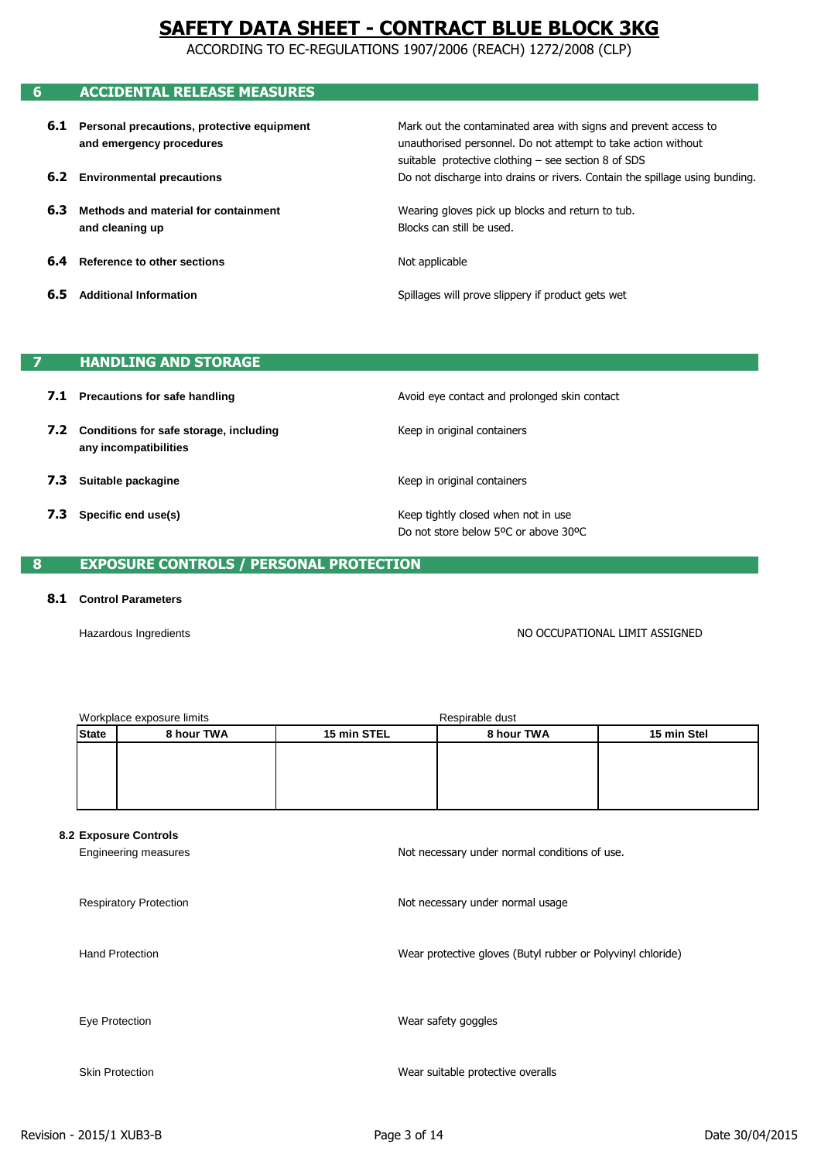ACCORDING TO EC-REGULATIONS 1907/2006 (REACH) 1272/2008 (CLP)

# **6 ACCIDENTAL RELEASE MEASURES**

- **6.1 Personal precautions, protective equipment and emergency procedures**
- **6.2 Environmental precautions**
- **6.3 Methods and material for containment and cleaning up**
- **6.4 Reference to other sections**
- **6.5 Additional Information**

Do not discharge into drains or rivers. Contain the spillage using bunding. Mark out the contaminated area with signs and prevent access to unauthorised personnel. Do not attempt to take action without suitable protective clothing – see section 8 of SDS

Wearing gloves pick up blocks and return to tub. Blocks can still be used.

Not applicable

Spillages will prove slippery if product gets wet

## **7 HANDLING AND STORAGE**

- **7.1 Precautions for safe handling**
- **7.2 Conditions for safe storage, including any incompatibilities**
- **7.3 Suitable packagine**
- **7.3 Specific end use(s)**

Avoid eye contact and prolonged skin contact

Keep in original containers

Keep in original containers

Keep tightly closed when not in use Do not store below 5ºC or above 30ºC

## **8 EXPOSURE CONTROLS / PERSONAL PROTECTION**

### **8.1 Control Parameters**

Hazardous Ingredients

NO OCCUPATIONAL LIMIT ASSIGNED

|              | Workplace exposure limits | Respirable dust |                           |  |  |
|--------------|---------------------------|-----------------|---------------------------|--|--|
| <b>State</b> | 8 hour TWA<br>15 min STEL |                 | 15 min Stel<br>8 hour TWA |  |  |
|              |                           |                 |                           |  |  |
|              |                           |                 |                           |  |  |
|              |                           |                 |                           |  |  |
|              |                           |                 |                           |  |  |

#### **8.2 Exposure Controls**

| Engineering measures          | Not necessary under normal conditions of use.               |
|-------------------------------|-------------------------------------------------------------|
| <b>Respiratory Protection</b> | Not necessary under normal usage                            |
| <b>Hand Protection</b>        | Wear protective gloves (Butyl rubber or Polyvinyl chloride) |
| Eye Protection                | Wear safety goggles                                         |
| <b>Skin Protection</b>        | Wear suitable protective overalls                           |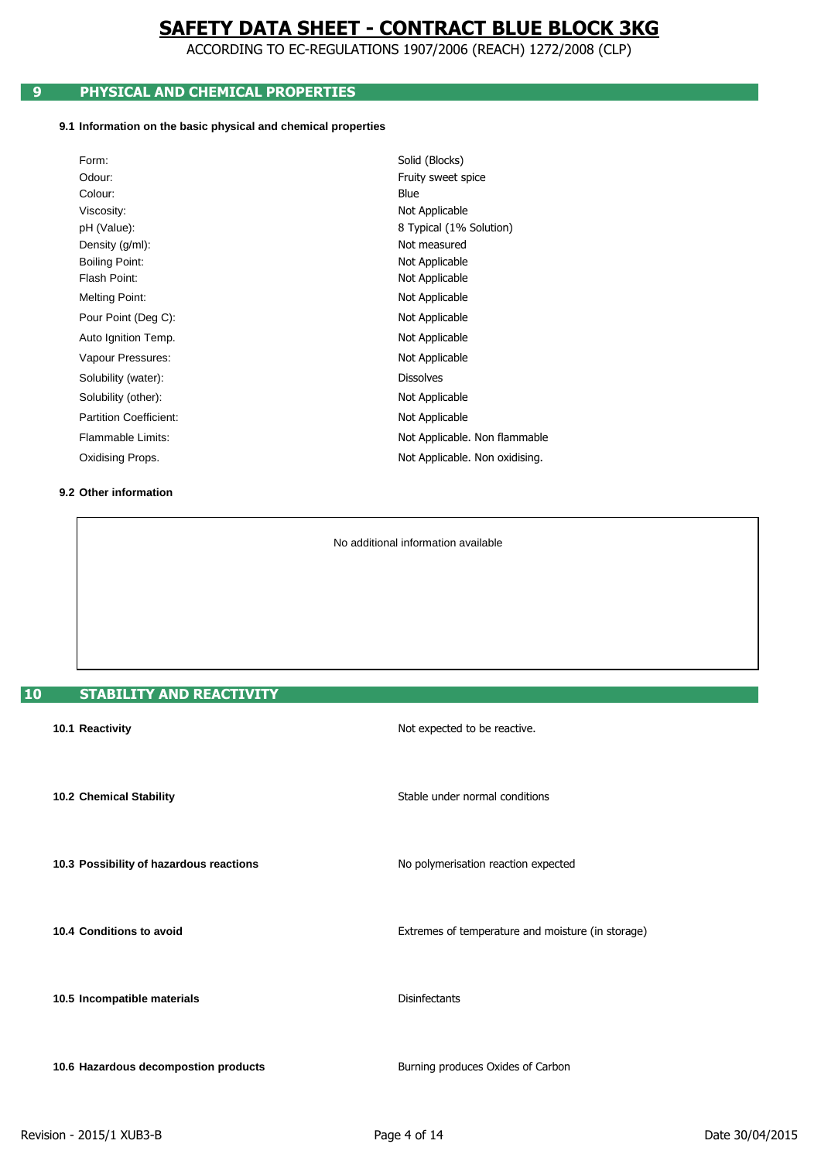ACCORDING TO EC-REGULATIONS 1907/2006 (REACH) 1272/2008 (CLP)

## **9 PHYSICAL AND CHEMICAL PROPERTIES**

### **9.1 Information on the basic physical and chemical properties**

| Form:                         | Solid (Blocks)                 |
|-------------------------------|--------------------------------|
| Odour:                        | Fruity sweet spice             |
| Colour:                       | Blue                           |
| Viscosity:                    | Not Applicable                 |
| pH (Value):                   | 8 Typical (1% Solution)        |
| Density (g/ml):               | Not measured                   |
| <b>Boiling Point:</b>         | Not Applicable                 |
| Flash Point:                  | Not Applicable                 |
| <b>Melting Point:</b>         | Not Applicable                 |
| Pour Point (Deg C):           | Not Applicable                 |
| Auto Ignition Temp.           | Not Applicable                 |
| Vapour Pressures:             | Not Applicable                 |
| Solubility (water):           | <b>Dissolves</b>               |
| Solubility (other):           | Not Applicable                 |
| <b>Partition Coefficient:</b> | Not Applicable                 |
| Flammable Limits:             | Not Applicable. Non flammable  |
| Oxidising Props.              | Not Applicable. Non oxidising. |
|                               |                                |

### **9.2 Other information**

No additional information available

# **10 STABILITY AND REACTIVITY**

| 10.1 Reactivity                         | Not expected to be reactive.                      |
|-----------------------------------------|---------------------------------------------------|
| 10.2 Chemical Stability                 | Stable under normal conditions                    |
| 10.3 Possibility of hazardous reactions | No polymerisation reaction expected               |
| 10.4 Conditions to avoid                | Extremes of temperature and moisture (in storage) |
| 10.5 Incompatible materials             | <b>Disinfectants</b>                              |
| 10.6 Hazardous decompostion products    | Burning produces Oxides of Carbon                 |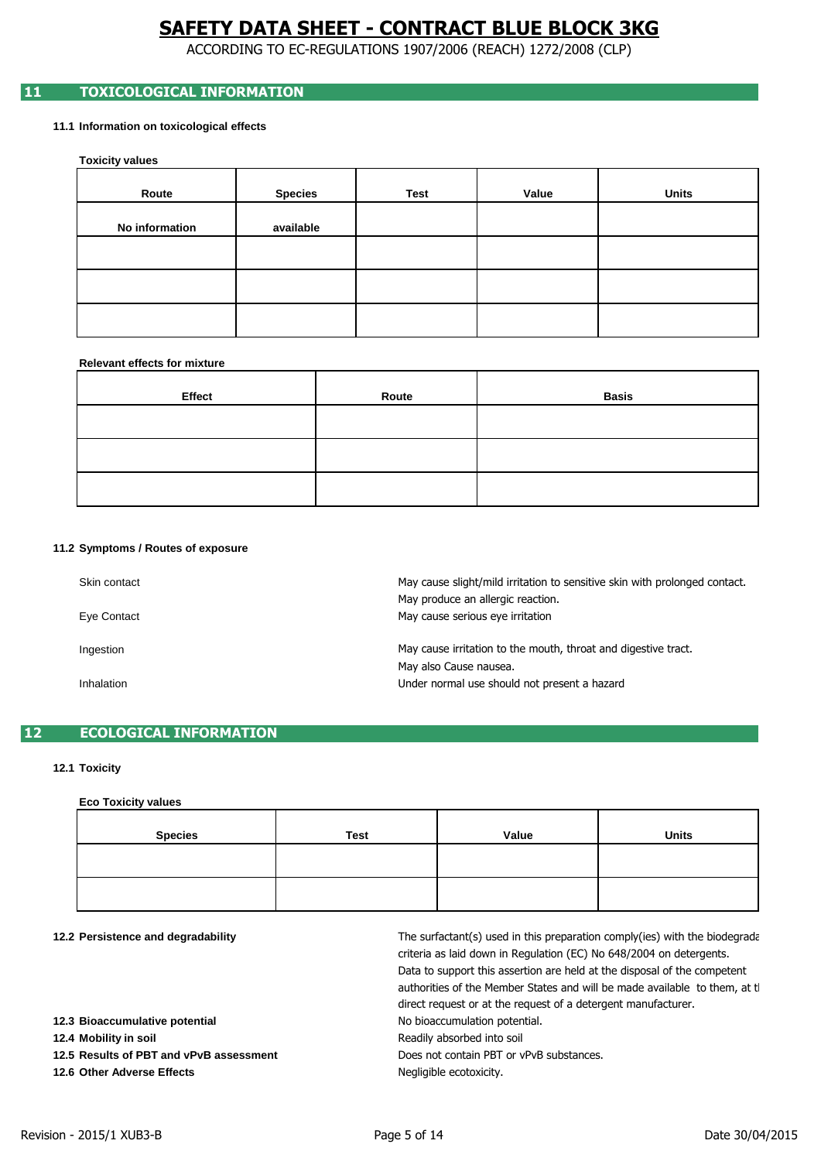ACCORDING TO EC-REGULATIONS 1907/2006 (REACH) 1272/2008 (CLP)

## **11 TOXICOLOGICAL INFORMATION**

### **11.1 Information on toxicological effects**

**Toxicity values**

| Route          | <b>Species</b> | <b>Test</b> | Value | <b>Units</b> |
|----------------|----------------|-------------|-------|--------------|
| No information | available      |             |       |              |
|                |                |             |       |              |
|                |                |             |       |              |
|                |                |             |       |              |

### **Relevant effects for mixture**

| Effect | Route | <b>Basis</b> |
|--------|-------|--------------|
|        |       |              |
|        |       |              |
|        |       |              |

#### **11.2 Symptoms / Routes of exposure**

| Skin contact<br>Eye Contact | May cause slight/mild irritation to sensitive skin with prolonged contact.<br>May produce an allergic reaction.<br>May cause serious eye irritation |
|-----------------------------|-----------------------------------------------------------------------------------------------------------------------------------------------------|
| Ingestion                   | May cause irritation to the mouth, throat and digestive tract.<br>May also Cause nausea.                                                            |
| Inhalation                  | Under normal use should not present a hazard                                                                                                        |

## **12 ECOLOGICAL INFORMATION**

### **12.1 Toxicity**

#### **Eco Toxicity values**

| <b>Species</b> | <b>Test</b> | Value | <b>Units</b> |
|----------------|-------------|-------|--------------|
|                |             |       |              |
|                |             |       |              |

#### **12.2 Persistence and degradability**

| 12.2 Persistence and degradability      | The surfactant(s) used in this preparation comply(ies) with the biodegrade<br>criteria as laid down in Regulation (EC) No 648/2004 on detergents.<br>Data to support this assertion are held at the disposal of the competent<br>authorities of the Member States and will be made available to them, at the<br>direct request or at the request of a detergent manufacturer. |
|-----------------------------------------|-------------------------------------------------------------------------------------------------------------------------------------------------------------------------------------------------------------------------------------------------------------------------------------------------------------------------------------------------------------------------------|
| 12.3 Bioaccumulative potential          | No bioaccumulation potential.                                                                                                                                                                                                                                                                                                                                                 |
| 12.4 Mobility in soil                   | Readily absorbed into soil                                                                                                                                                                                                                                                                                                                                                    |
| 12.5 Results of PBT and vPvB assessment | Does not contain PBT or vPvB substances.                                                                                                                                                                                                                                                                                                                                      |
| 12.6 Other Adverse Effects              | Negligible ecotoxicity.                                                                                                                                                                                                                                                                                                                                                       |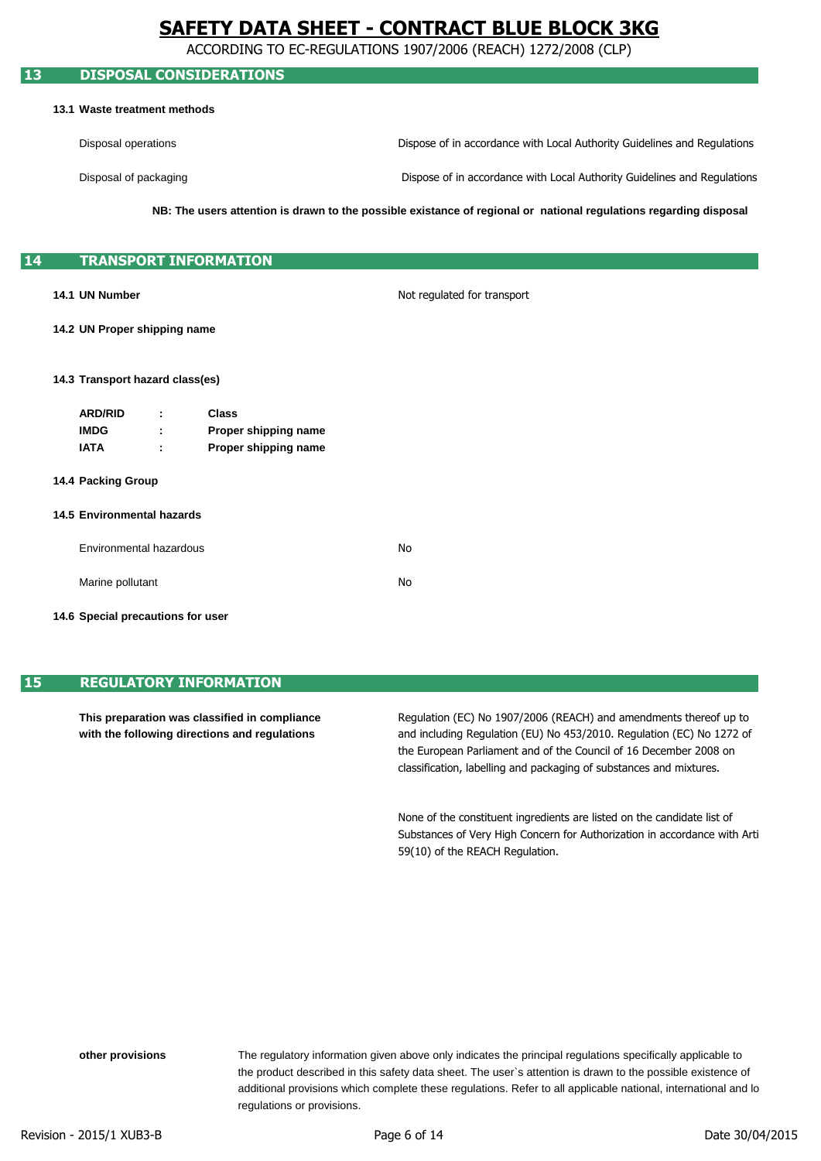ACCORDING TO EC-REGULATIONS 1907/2006 (REACH) 1272/2008 (CLP)

### **13 DISPOSAL CONSIDERATIONS**

#### **13.1 Waste treatment methods**

Disposal operations Dispose of in accordance with Local Authority Guidelines and Regulations

Disposal of packaging

Dispose of in accordance with Local Authority Guidelines and Regulations

**NB: The users attention is drawn to the possible existance of regional or national regulations regarding disposal**

## **14 TRANSPORT INFORMATION**

#### **14.1 UN Number**

Not regulated for transport

### **14.2 UN Proper shipping name**

#### **14.3 Transport hazard class(es)**

| <b>ARD/RID</b> | ٠      | Class                |
|----------------|--------|----------------------|
| <b>IMDG</b>    | ٠<br>٠ | Proper shipping name |
| IATA           | ٠<br>÷ | Proper shipping name |

#### **14.4 Packing Group**

#### **14.5 Environmental hazards**

| Environmental hazardous | N٥ |
|-------------------------|----|
| Marine pollutant        | N٥ |

#### **14.6 Special precautions for user**

## **15 REGULATORY INFORMATION**

**This preparation was classified in compliance with the following directions and regulations**

the European Parliament and of the Council of 16 December 2008 on and including Regulation (EU) No 453/2010. Regulation (EC) No 1272 of classification, labelling and packaging of substances and mixtures. Regulation (EC) No 1907/2006 (REACH) and amendments thereof up to

Substances of Very High Concern for Authorization in accordance with Arti None of the constituent ingredients are listed on the candidate list of 59(10) of the REACH Regulation.

regulations or provisions. The regulatory information given above only indicates the principal regulations specifically applicable to additional provisions which complete these regulations. Refer to all applicable national, international and lo the product described in this safety data sheet. The user`s attention is drawn to the possible existence of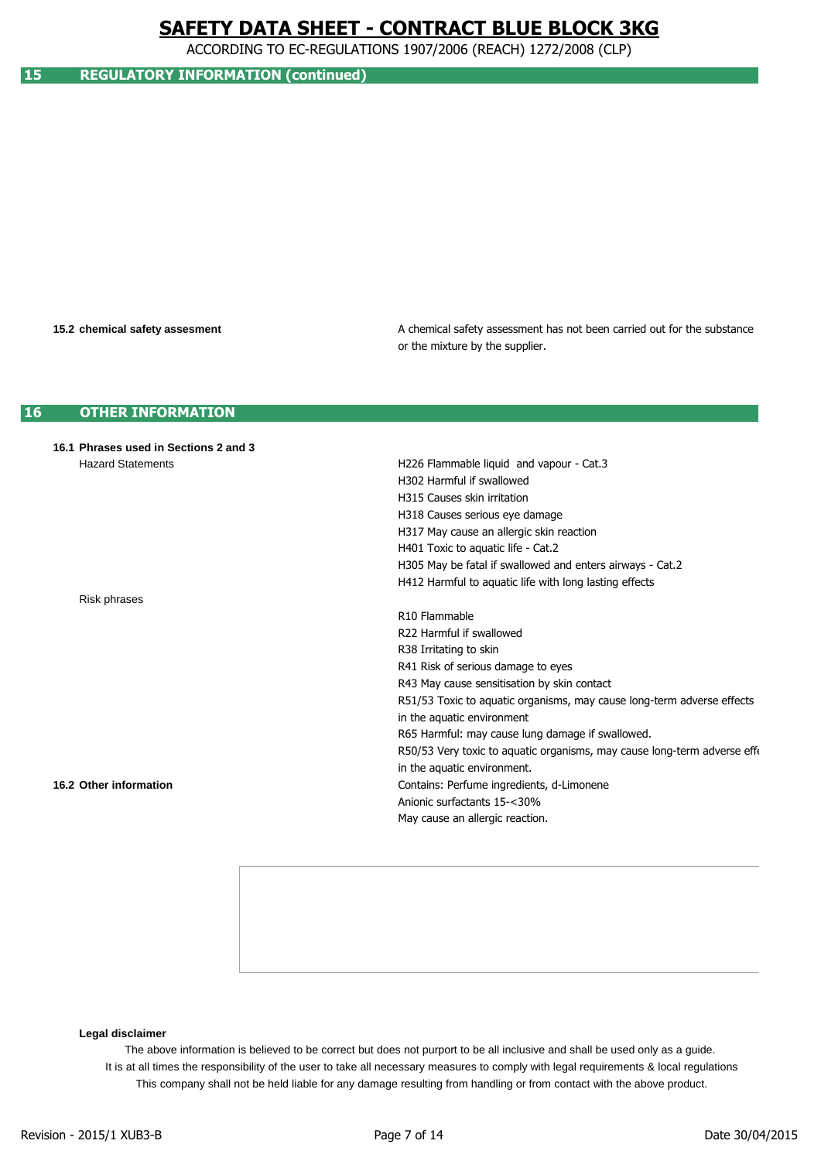ACCORDING TO EC-REGULATIONS 1907/2006 (REACH) 1272/2008 (CLP)

## **15 REGULATORY INFORMATION (continued)**

#### **15.2 chemical safety assesment**

or the mixture by the supplier. A chemical safety assessment has not been carried out for the substance

#### **16 OTHER INFORMATION**

| 16.1 Phrases used in Sections 2 and 3 |                                                                          |
|---------------------------------------|--------------------------------------------------------------------------|
| <b>Hazard Statements</b>              | H226 Flammable liquid and vapour - Cat.3                                 |
|                                       | H302 Harmful if swallowed                                                |
|                                       | H315 Causes skin irritation                                              |
|                                       | H318 Causes serious eye damage                                           |
|                                       | H317 May cause an allergic skin reaction                                 |
|                                       | H401 Toxic to aquatic life - Cat.2                                       |
|                                       | H305 May be fatal if swallowed and enters airways - Cat.2                |
|                                       | H412 Harmful to aquatic life with long lasting effects                   |
| Risk phrases                          |                                                                          |
|                                       | R <sub>10</sub> Flammable                                                |
|                                       | R22 Harmful if swallowed                                                 |
|                                       | R38 Irritating to skin                                                   |
|                                       | R41 Risk of serious damage to eyes                                       |
|                                       | R43 May cause sensitisation by skin contact                              |
|                                       | R51/53 Toxic to aquatic organisms, may cause long-term adverse effects   |
|                                       | in the aquatic environment                                               |
|                                       | R65 Harmful: may cause lung damage if swallowed.                         |
|                                       | R50/53 Very toxic to aquatic organisms, may cause long-term adverse effe |
|                                       | in the aquatic environment.                                              |
| 16.2 Other information                | Contains: Perfume ingredients, d-Limonene                                |
|                                       | Anionic surfactants 15-<30%                                              |
|                                       | May cause an allergic reaction.                                          |
|                                       |                                                                          |

### **Legal disclaimer**

The above information is believed to be correct but does not purport to be all inclusive and shall be used only as a guide. This company shall not be held liable for any damage resulting from handling or from contact with the above product. It is at all times the responsibility of the user to take all necessary measures to comply with legal requirements & local regulations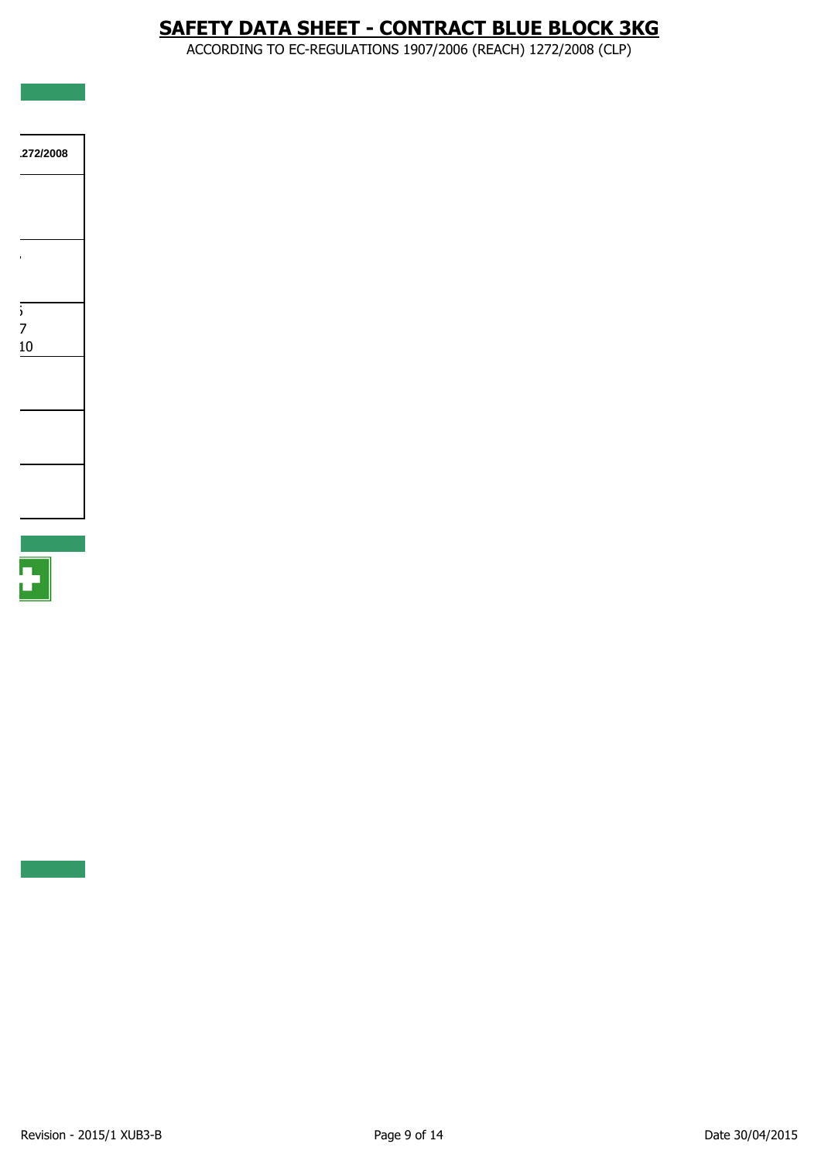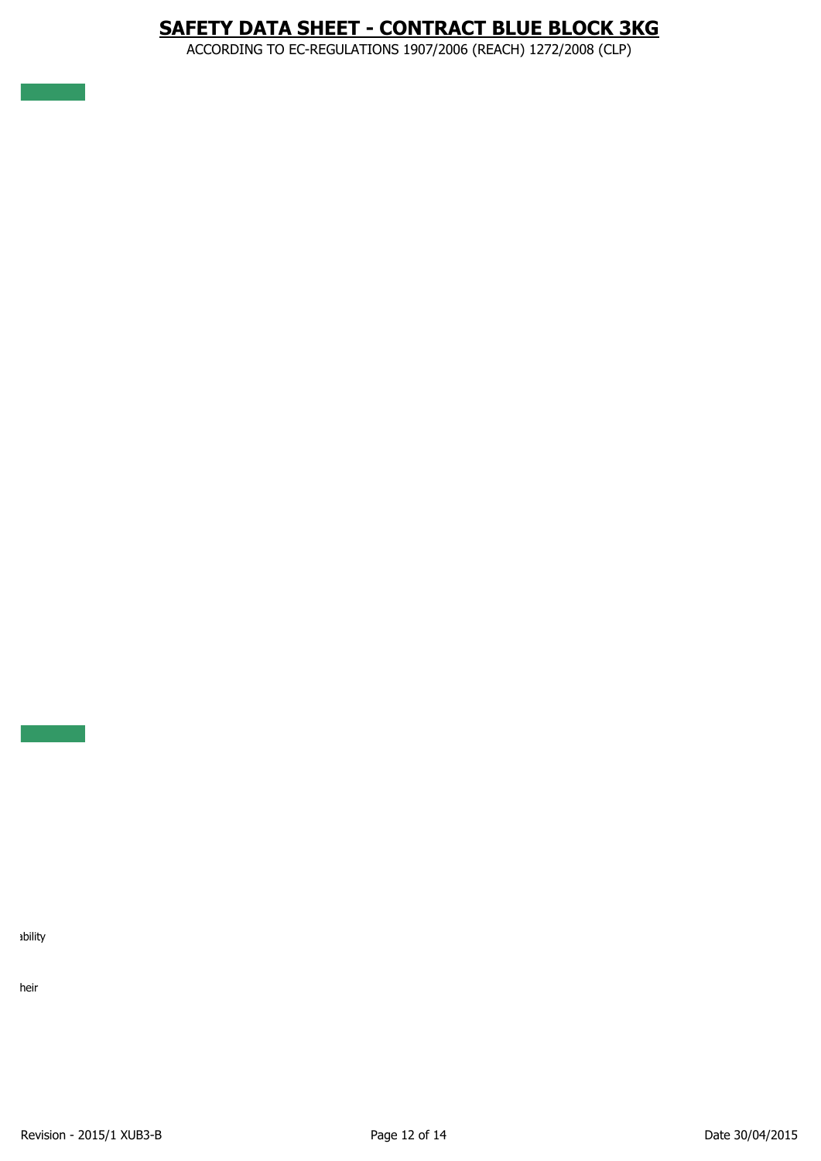ACCORDING TO EC-REGULATIONS 1907/2006 (REACH) 1272/2008 (CLP)

1bility

heir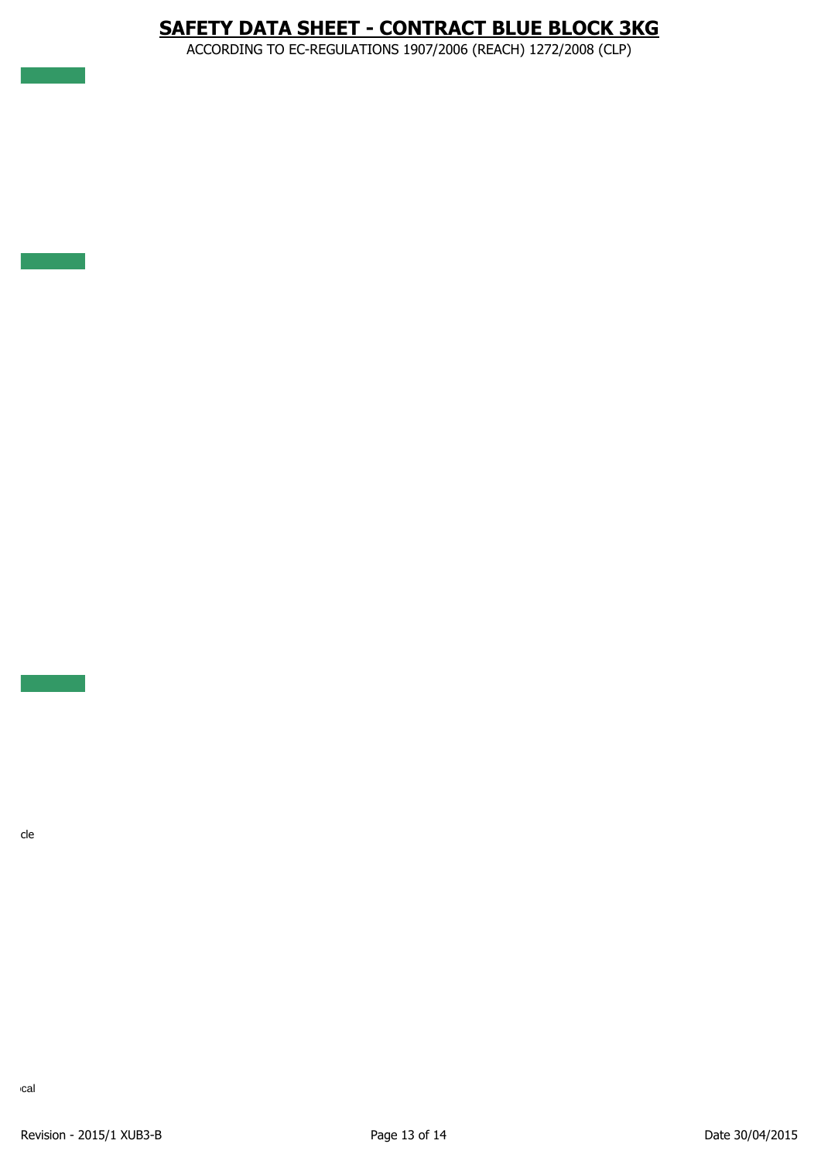ACCORDING TO EC-REGULATIONS 1907/2006 (REACH) 1272/2008 (CLP)

 $\overline{\phantom{a}}$  cle

cal